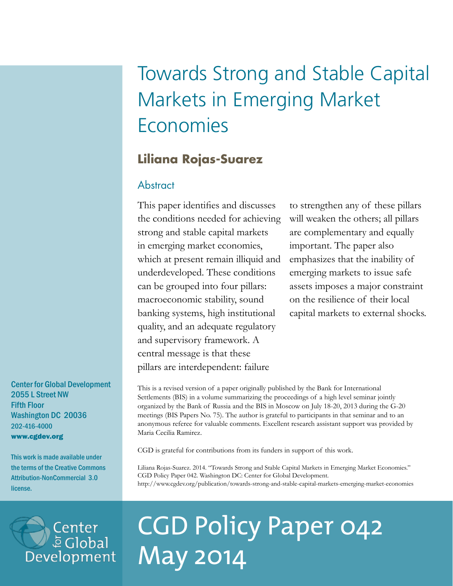## Towards Strong and Stable Capital Markets in Emerging Market Economies

## **Liliana Rojas-Suarez**

## Abstract

This paper identifies and discusses the conditions needed for achieving strong and stable capital markets in emerging market economies, which at present remain illiquid and underdeveloped. These conditions can be grouped into four pillars: macroeconomic stability, sound banking systems, high institutional quality, and an adequate regulatory and supervisory framework. A central message is that these pillars are interdependent: failure

to strengthen any of these pillars will weaken the others; all pillars are complementary and equally important. The paper also emphasizes that the inability of emerging markets to issue safe assets imposes a major constraint on the resilience of their local capital markets to external shocks.

Center for Global Development 2055 L Street NW Fifth Floor Washington DC 20036 202-416-4000 www.cgdev.org

This work is made available under the terms of the Creative Commons Attribution-NonCommercial 3.0 license.

This is a revised version of a paper originally published by the Bank for International Settlements (BIS) in a volume summarizing the proceedings of a high level seminar jointly organized by the Bank of Russia and the BIS in Moscow on July 18-20, 2013 during the G-20 meetings (BIS Papers No. 75). The author is grateful to participants in that seminar and to an anonymous referee for valuable comments. Excellent research assistant support was provided by Maria Cecilia Ramirez.

CGD is grateful for contributions from its funders in support of this work.

Liliana Rojas-Suarez. 2014. "Towards Strong and Stable Capital Markets in Emerging Market Economies." CGD Policy Paper 042. Washington DC: Center for Global Development. http://www.cgdev.org/publication/towards-strong-and-stable-capital-markets-emerging-market-economies

# Center<br>ē Global Development

# CGD Policy Paper 042 May 2014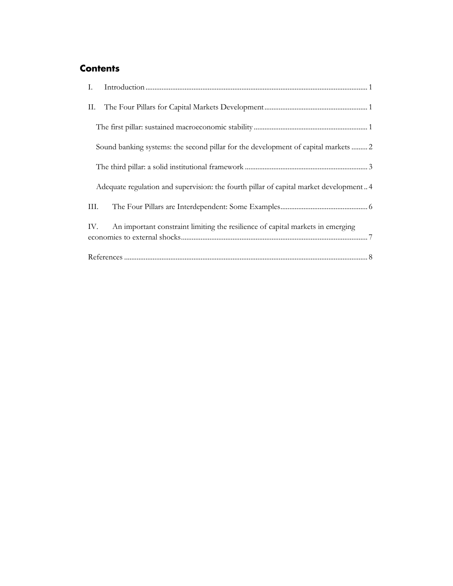## **Contents**

| П.  |                                                                                                   |
|-----|---------------------------------------------------------------------------------------------------|
|     |                                                                                                   |
|     | Sound banking systems: the second pillar for the development of capital markets  2                |
|     |                                                                                                   |
|     | Adequate regulation and supervision: the fourth pillar of capital market development4             |
| Ш.  |                                                                                                   |
| IV. | An important constraint limiting the resilience of capital markets in emerging                    |
|     | $References \hspace*{20pt} . \hspace*{20pt} . \hspace*{20pt} . \hspace*{20pt} . \hspace*{20pt} 8$ |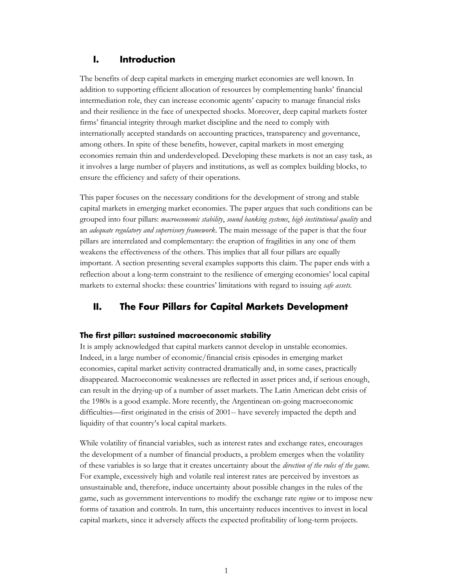#### <span id="page-2-0"></span>**I. Introduction**

The benefits of deep capital markets in emerging market economies are well known. In addition to supporting efficient allocation of resources by complementing banks' financial intermediation role, they can increase economic agents' capacity to manage financial risks and their resilience in the face of unexpected shocks. Moreover, deep capital markets foster firms' financial integrity through market discipline and the need to comply with internationally accepted standards on accounting practices, transparency and governance, among others. In spite of these benefits, however, capital markets in most emerging economies remain thin and underdeveloped. Developing these markets is not an easy task, as it involves a large number of players and institutions, as well as complex building blocks, to ensure the efficiency and safety of their operations.

This paper focuses on the necessary conditions for the development of strong and stable capital markets in emerging market economies. The paper argues that such conditions can be grouped into four pillars: *macroeconomic stability*, *sound banking systems*, *high institutional quality* and an *adequate regulatory and supervisory framework*. The main message of the paper is that the four pillars are interrelated and complementary: the eruption of fragilities in any one of them weakens the effectiveness of the others. This implies that all four pillars are equally important. A section presenting several examples supports this claim. The paper ends with a reflection about a long-term constraint to the resilience of emerging economies' local capital markets to external shocks: these countries' limitations with regard to issuing *safe assets.*

#### <span id="page-2-1"></span>**II. The Four Pillars for Capital Markets Development**

#### <span id="page-2-2"></span>**The first pillar: sustained macroeconomic stability**

It is amply acknowledged that capital markets cannot develop in unstable economies. Indeed, in a large number of economic/financial crisis episodes in emerging market economies, capital market activity contracted dramatically and, in some cases, practically disappeared. Macroeconomic weaknesses are reflected in asset prices and, if serious enough, can result in the drying-up of a number of asset markets. The Latin American debt crisis of the 1980s is a good example. More recently, the Argentinean on-going macroeconomic difficulties—first originated in the crisis of 2001-- have severely impacted the depth and liquidity of that country's local capital markets.

While volatility of financial variables, such as interest rates and exchange rates, encourages the development of a number of financial products, a problem emerges when the volatility of these variables is so large that it creates uncertainty about the *direction of the rules of the game.* For example, excessively high and volatile real interest rates are perceived by investors as unsustainable and, therefore, induce uncertainty about possible changes in the rules of the game, such as government interventions to modify the exchange rate *regime* or to impose new forms of taxation and controls. In turn, this uncertainty reduces incentives to invest in local capital markets, since it adversely affects the expected profitability of long-term projects.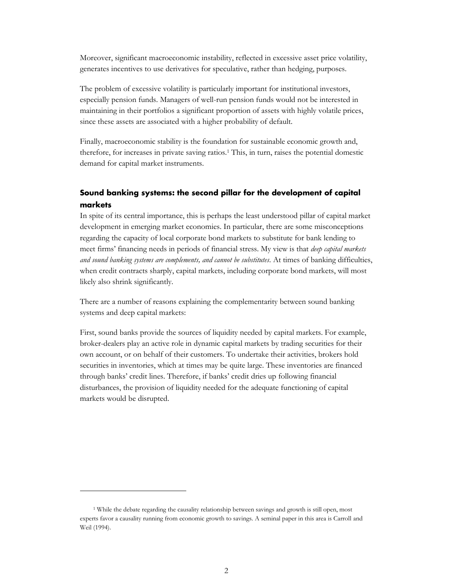Moreover, significant macroeconomic instability, reflected in excessive asset price volatility, generates incentives to use derivatives for speculative, rather than hedging, purposes.

The problem of excessive volatility is particularly important for institutional investors, especially pension funds. Managers of well-run pension funds would not be interested in maintaining in their portfolios a significant proportion of assets with highly volatile prices, since these assets are associated with a higher probability of default.

Finally, macroeconomic stability is the foundation for sustainable economic growth and, therefore, for increases in private saving ratios.<sup>1</sup> This, in turn, raises the potential domestic demand for capital market instruments.

#### <span id="page-3-0"></span>**Sound banking systems: the second pillar for the development of capital markets**

In spite of its central importance, this is perhaps the least understood pillar of capital market development in emerging market economies. In particular, there are some misconceptions regarding the capacity of local corporate bond markets to substitute for bank lending to meet firms' financing needs in periods of financial stress. My view is that *deep capital markets and sound banking systems are complements, and cannot be substitutes*. At times of banking difficulties, when credit contracts sharply, capital markets, including corporate bond markets, will most likely also shrink significantly.

There are a number of reasons explaining the complementarity between sound banking systems and deep capital markets:

First, sound banks provide the sources of liquidity needed by capital markets. For example, broker-dealers play an active role in dynamic capital markets by trading securities for their own account, or on behalf of their customers. To undertake their activities, brokers hold securities in inventories, which at times may be quite large. These inventories are financed through banks' credit lines. Therefore, if banks' credit dries up following financial disturbances, the provision of liquidity needed for the adequate functioning of capital markets would be disrupted.

<sup>1</sup> While the debate regarding the causality relationship between savings and growth is still open, most experts favor a causality running from economic growth to savings. A seminal paper in this area is Carroll and Weil (1994).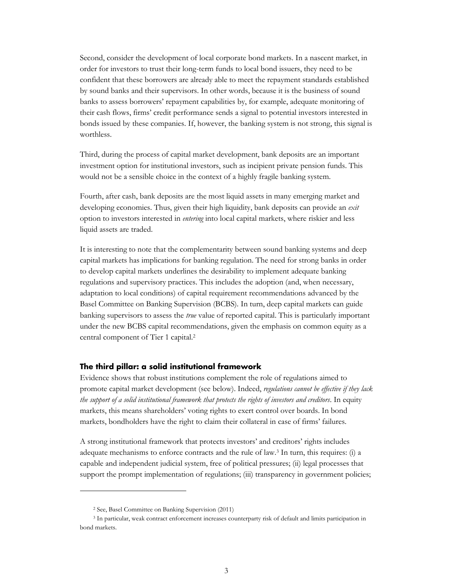Second, consider the development of local corporate bond markets. In a nascent market, in order for investors to trust their long-term funds to local bond issuers, they need to be confident that these borrowers are already able to meet the repayment standards established by sound banks and their supervisors. In other words, because it is the business of sound banks to assess borrowers' repayment capabilities by, for example, adequate monitoring of their cash flows, firms' credit performance sends a signal to potential investors interested in bonds issued by these companies. If, however, the banking system is not strong, this signal is worthless.

Third, during the process of capital market development, bank deposits are an important investment option for institutional investors, such as incipient private pension funds. This would not be a sensible choice in the context of a highly fragile banking system.

Fourth, after cash, bank deposits are the most liquid assets in many emerging market and developing economies. Thus, given their high liquidity, bank deposits can provide an *exit* option to investors interested in *entering* into local capital markets, where riskier and less liquid assets are traded.

It is interesting to note that the complementarity between sound banking systems and deep capital markets has implications for banking regulation. The need for strong banks in order to develop capital markets underlines the desirability to implement adequate banking regulations and supervisory practices. This includes the adoption (and, when necessary, adaptation to local conditions) of capital requirement recommendations advanced by the Basel Committee on Banking Supervision (BCBS). In turn, deep capital markets can guide banking supervisors to assess the *true* value of reported capital. This is particularly important under the new BCBS capital recommendations, given the emphasis on common equity as a central component of Tier 1 capital.<sup>2</sup>

#### <span id="page-4-0"></span>**The third pillar: a solid institutional framework**

Evidence shows that robust institutions complement the role of regulations aimed to promote capital market development (see below). Indeed, *regulations cannot be effective if they lack the support of a solid institutional framework that protects the rights of investors and creditors*. In equity markets, this means shareholders' voting rights to exert control over boards. In bond markets, bondholders have the right to claim their collateral in case of firms' failures.

A strong institutional framework that protects investors' and creditors' rights includes adequate mechanisms to enforce contracts and the rule of law.<sup>3</sup> In turn, this requires: (i) a capable and independent judicial system, free of political pressures; (ii) legal processes that support the prompt implementation of regulations; (iii) transparency in government policies;

<sup>2</sup> See, Basel Committee on Banking Supervision (2011)

<sup>3</sup> In particular, weak contract enforcement increases counterparty risk of default and limits participation in bond markets.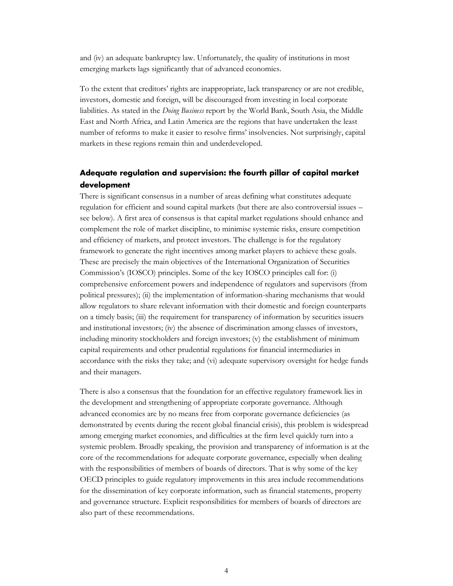and (iv) an adequate bankruptcy law. Unfortunately, the quality of institutions in most emerging markets lags significantly that of advanced economies.

To the extent that creditors' rights are inappropriate, lack transparency or are not credible, investors, domestic and foreign, will be discouraged from investing in local corporate liabilities. As stated in the *Doing Business* report by the World Bank, South Asia, the Middle East and North Africa, and Latin America are the regions that have undertaken the least number of reforms to make it easier to resolve firms' insolvencies. Not surprisingly, capital markets in these regions remain thin and underdeveloped.

#### <span id="page-5-0"></span>**Adequate regulation and supervision: the fourth pillar of capital market development**

There is significant consensus in a number of areas defining what constitutes adequate regulation for efficient and sound capital markets (but there are also controversial issues – see below). A first area of consensus is that capital market regulations should enhance and complement the role of market discipline, to minimise systemic risks, ensure competition and efficiency of markets, and protect investors. The challenge is for the regulatory framework to generate the right incentives among market players to achieve these goals. These are precisely the main objectives of the International Organization of Securities Commission's (IOSCO) principles. Some of the key IOSCO principles call for: (i) comprehensive enforcement powers and independence of regulators and supervisors (from political pressures); (ii) the implementation of information-sharing mechanisms that would allow regulators to share relevant information with their domestic and foreign counterparts on a timely basis; (iii) the requirement for transparency of information by securities issuers and institutional investors; (iv) the absence of discrimination among classes of investors, including minority stockholders and foreign investors; (v) the establishment of minimum capital requirements and other prudential regulations for financial intermediaries in accordance with the risks they take; and (vi) adequate supervisory oversight for hedge funds and their managers.

There is also a consensus that the foundation for an effective regulatory framework lies in the development and strengthening of appropriate corporate governance. Although advanced economies are by no means free from corporate governance deficiencies (as demonstrated by events during the recent global financial crisis), this problem is widespread among emerging market economies, and difficulties at the firm level quickly turn into a systemic problem. Broadly speaking, the provision and transparency of information is at the core of the recommendations for adequate corporate governance, especially when dealing with the responsibilities of members of boards of directors. That is why some of the key OECD principles to guide regulatory improvements in this area include recommendations for the dissemination of key corporate information, such as financial statements, property and governance structure. Explicit responsibilities for members of boards of directors are also part of these recommendations.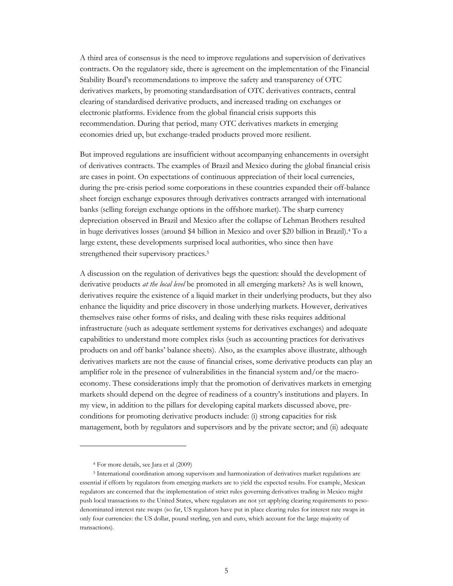A third area of consensus is the need to improve regulations and supervision of derivatives contracts. On the regulatory side, there is agreement on the implementation of the Financial Stability Board's recommendations to improve the safety and transparency of OTC derivatives markets, by promoting standardisation of OTC derivatives contracts, central clearing of standardised derivative products, and increased trading on exchanges or electronic platforms. Evidence from the global financial crisis supports this recommendation. During that period, many OTC derivatives markets in emerging economies dried up, but exchange-traded products proved more resilient.

But improved regulations are insufficient without accompanying enhancements in oversight of derivatives contracts. The examples of Brazil and Mexico during the global financial crisis are cases in point. On expectations of continuous appreciation of their local currencies, during the pre-crisis period some corporations in these countries expanded their off-balance sheet foreign exchange exposures through derivatives contracts arranged with international banks (selling foreign exchange options in the offshore market). The sharp currency depreciation observed in Brazil and Mexico after the collapse of Lehman Brothers resulted in huge derivatives losses (around \$4 billion in Mexico and over \$20 billion in Brazil).<sup>4</sup> To a large extent, these developments surprised local authorities, who since then have strengthened their supervisory practices.<sup>5</sup>

A discussion on the regulation of derivatives begs the question: should the development of derivative products *at the local level* be promoted in all emerging markets? As is well known, derivatives require the existence of a liquid market in their underlying products, but they also enhance the liquidity and price discovery in those underlying markets. However, derivatives themselves raise other forms of risks, and dealing with these risks requires additional infrastructure (such as adequate settlement systems for derivatives exchanges) and adequate capabilities to understand more complex risks (such as accounting practices for derivatives products on and off banks' balance sheets). Also, as the examples above illustrate, although derivatives markets are not the cause of financial crises, some derivative products can play an amplifier role in the presence of vulnerabilities in the financial system and/or the macroeconomy. These considerations imply that the promotion of derivatives markets in emerging markets should depend on the degree of readiness of a country's institutions and players. In my view, in addition to the pillars for developing capital markets discussed above, preconditions for promoting derivative products include: (i) strong capacities for risk management, both by regulators and supervisors and by the private sector; and (ii) adequate

<sup>4</sup> For more details, see Jara et al (2009)

<sup>5</sup> International coordination among supervisors and harmonization of derivatives market regulations are essential if efforts by regulators from emerging markets are to yield the expected results. For example, Mexican regulators are concerned that the implementation of strict rules governing derivatives trading in Mexico might push local transactions to the United States, where regulators are not yet applying clearing requirements to pesodenominated interest rate swaps (so far, US regulators have put in place clearing rules for interest rate swaps in only four currencies: the US dollar, pound sterling, yen and euro, which account for the large majority of transactions).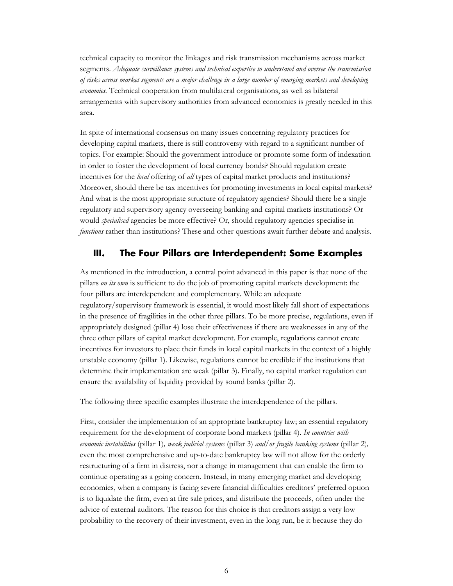technical capacity to monitor the linkages and risk transmission mechanisms across market segments. *Adequate surveillance systems and technical expertise to understand and oversee the transmission of risks across market segments are a major challenge in a large number of emerging markets and developing economies.* Technical cooperation from multilateral organisations, as well as bilateral arrangements with supervisory authorities from advanced economies is greatly needed in this area.

In spite of international consensus on many issues concerning regulatory practices for developing capital markets, there is still controversy with regard to a significant number of topics. For example: Should the government introduce or promote some form of indexation in order to foster the development of local currency bonds? Should regulation create incentives for the *local* offering of *all* types of capital market products and institutions? Moreover, should there be tax incentives for promoting investments in local capital markets? And what is the most appropriate structure of regulatory agencies? Should there be a single regulatory and supervisory agency overseeing banking and capital markets institutions? Or would *specialised* agencies be more effective? Or, should regulatory agencies specialise in *functions* rather than institutions? These and other questions await further debate and analysis.

#### <span id="page-7-0"></span>**III. The Four Pillars are Interdependent: Some Examples**

As mentioned in the introduction, a central point advanced in this paper is that none of the pillars *on its own* is sufficient to do the job of promoting capital markets development: the four pillars are interdependent and complementary. While an adequate regulatory/supervisory framework is essential, it would most likely fall short of expectations in the presence of fragilities in the other three pillars. To be more precise, regulations, even if appropriately designed (pillar 4) lose their effectiveness if there are weaknesses in any of the three other pillars of capital market development. For example, regulations cannot create incentives for investors to place their funds in local capital markets in the context of a highly unstable economy (pillar 1). Likewise, regulations cannot be credible if the institutions that determine their implementation are weak (pillar 3). Finally, no capital market regulation can ensure the availability of liquidity provided by sound banks (pillar 2).

The following three specific examples illustrate the interdependence of the pillars.

First, consider the implementation of an appropriate bankruptcy law; an essential regulatory requirement for the development of corporate bond markets (pillar 4). *In countries with economic instabilities* (pillar 1)*, weak judicial systems* (pillar 3) *and/or fragile banking systems* (pillar 2)*,*  even the most comprehensive and up-to-date bankruptcy law will not allow for the orderly restructuring of a firm in distress, nor a change in management that can enable the firm to continue operating as a going concern. Instead, in many emerging market and developing economies, when a company is facing severe financial difficulties creditors' preferred option is to liquidate the firm, even at fire sale prices, and distribute the proceeds, often under the advice of external auditors. The reason for this choice is that creditors assign a very low probability to the recovery of their investment, even in the long run, be it because they do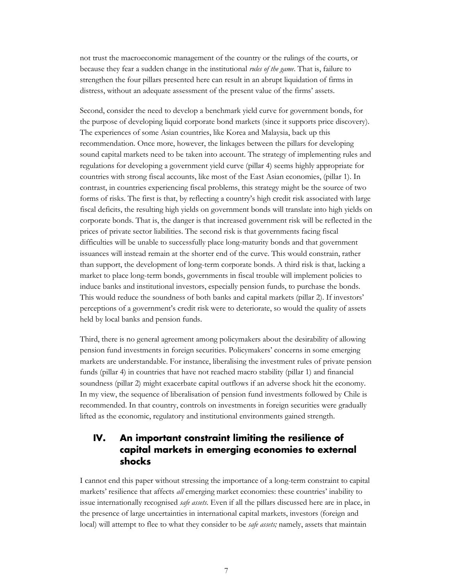not trust the macroeconomic management of the country or the rulings of the courts, or because they fear a sudden change in the institutional *rules of the game*. That is, failure to strengthen the four pillars presented here can result in an abrupt liquidation of firms in distress, without an adequate assessment of the present value of the firms' assets.

Second, consider the need to develop a benchmark yield curve for government bonds, for the purpose of developing liquid corporate bond markets (since it supports price discovery). The experiences of some Asian countries, like Korea and Malaysia, back up this recommendation. Once more, however, the linkages between the pillars for developing sound capital markets need to be taken into account. The strategy of implementing rules and regulations for developing a government yield curve (pillar 4) seems highly appropriate for countries with strong fiscal accounts, like most of the East Asian economies, (pillar 1). In contrast, in countries experiencing fiscal problems, this strategy might be the source of two forms of risks. The first is that, by reflecting a country's high credit risk associated with large fiscal deficits, the resulting high yields on government bonds will translate into high yields on corporate bonds. That is, the danger is that increased government risk will be reflected in the prices of private sector liabilities. The second risk is that governments facing fiscal difficulties will be unable to successfully place long-maturity bonds and that government issuances will instead remain at the shorter end of the curve. This would constrain, rather than support, the development of long-term corporate bonds. A third risk is that, lacking a market to place long-term bonds, governments in fiscal trouble will implement policies to induce banks and institutional investors, especially pension funds, to purchase the bonds. This would reduce the soundness of both banks and capital markets (pillar 2). If investors' perceptions of a government's credit risk were to deteriorate, so would the quality of assets held by local banks and pension funds.

Third, there is no general agreement among policymakers about the desirability of allowing pension fund investments in foreign securities. Policymakers' concerns in some emerging markets are understandable. For instance, liberalising the investment rules of private pension funds (pillar 4) in countries that have not reached macro stability (pillar 1) and financial soundness (pillar 2) might exacerbate capital outflows if an adverse shock hit the economy. In my view, the sequence of liberalisation of pension fund investments followed by Chile is recommended. In that country, controls on investments in foreign securities were gradually lifted as the economic, regulatory and institutional environments gained strength.

### <span id="page-8-0"></span>**IV. An important constraint limiting the resilience of capital markets in emerging economies to external shocks**

I cannot end this paper without stressing the importance of a long-term constraint to capital markets' resilience that affects *all* emerging market economies: these countries' inability to issue internationally recognised *safe assets*. Even if all the pillars discussed here are in place, in the presence of large uncertainties in international capital markets, investors (foreign and local) will attempt to flee to what they consider to be *safe assets;* namely, assets that maintain